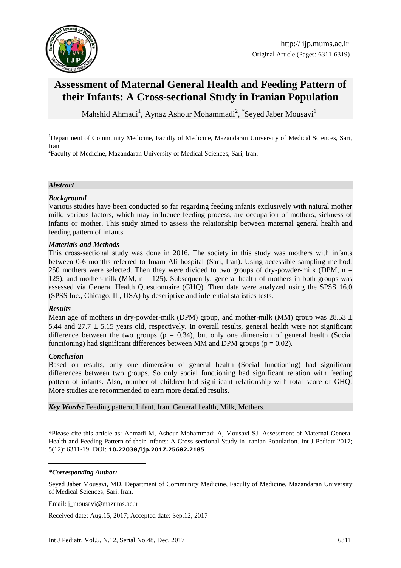

# **Assessment of Maternal General Health and Feeding Pattern of their Infants: A Cross-sectional Study in Iranian Population**

Mahshid Ahmadi<sup>1</sup>, Aynaz Ashour Mohammadi<sup>2</sup>, <sup>\*</sup>Seyed Jaber Mousavi<sup>1</sup>

<sup>1</sup>Department of Community Medicine, Faculty of Medicine, Mazandaran University of Medical Sciences, Sari, Iran.

<sup>2</sup> Faculty of Medicine, Mazandaran University of Medical Sciences, Sari, Iran.

#### *Abstract*

#### *Background*

Various studies have been conducted so far regarding feeding infants exclusively with natural mother milk; various factors, which may influence feeding process, are occupation of mothers, sickness of infants or mother. This study aimed to assess the relationship between maternal general health and feeding pattern of infants.

#### *Materials and Methods*

This cross-sectional study was done in 2016. The society in this study was mothers with infants between 0-6 months referred to Imam Ali hospital (Sari, Iran). Using accessible sampling method, 250 mothers were selected. Then they were divided to two groups of dry-powder-milk (DPM,  $n =$ 125), and mother-milk (MM,  $n = 125$ ). Subsequently, general health of mothers in both groups was assessed via General Health Questionnaire (GHQ). Then data were analyzed using the SPSS 16.0 (SPSS Inc., Chicago, IL, USA) by descriptive and inferential statistics tests.

#### *Results*

Mean age of mothers in dry-powder-milk (DPM) group, and mother-milk (MM) group was 28.53  $\pm$ 5.44 and 27.7  $\pm$  5.15 years old, respectively. In overall results, general health were not significant difference between the two groups ( $p = 0.34$ ), but only one dimension of general health (Social functioning) had significant differences between MM and DPM groups ( $p = 0.02$ ).

#### *Conclusion*

Based on results, only one dimension of general health (Social functioning) had significant differences between two groups. So only social functioning had significant relation with feeding pattern of infants. Also, number of children had significant relationship with total score of GHQ. More studies are recommended to earn more detailed results.

*Key Words:* Feeding pattern, Infant, Iran, General health, Milk, Mothers.

\*Please cite this article as: Ahmadi M, Ashour Mohammadi A, Mousavi SJ. Assessment of Maternal General Health and Feeding Pattern of their Infants: A Cross-sectional Study in Iranian Population. Int J Pediatr 2017; 5(12): 6311-19. DOI: **10.22038/ijp.2017.25682.2185**

*\*Corresponding Author:*

1

Seyed Jaber Mousavi, MD, Department of Community Medicine, Faculty of Medicine, Mazandaran University of Medical Sciences, Sari, Iran.

Email: j\_mousavi@mazums.ac.ir

Received date: Aug.15, 2017; Accepted date: Sep.12, 2017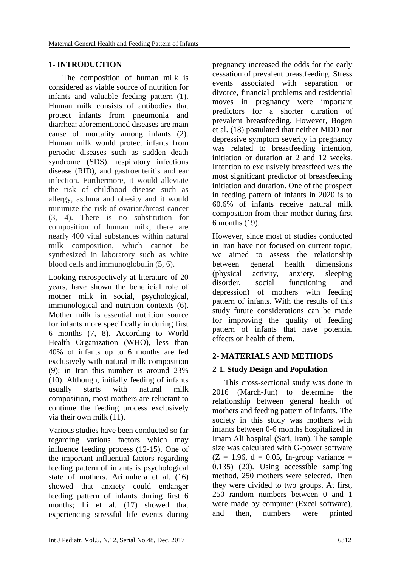### **1- INTRODUCTION**

The composition of human milk is considered as viable source of nutrition for infants and valuable feeding pattern (1). Human milk consists of antibodies that protect infants from pneumonia and diarrhea; aforementioned diseases are main cause of mortality among infants (2). Human milk would protect infants from periodic diseases such as sudden death syndrome (SDS), respiratory infectious disease (RID), and gastroenteritis and ear infection. Furthermore, it would alleviate the risk of childhood disease such as allergy, asthma and obesity and it would minimize the risk of ovarian/breast cancer (3, 4). There is no substitution for composition of human milk; there are nearly 400 vital substances within natural milk composition, which cannot be synthesized in laboratory such as white blood cells and immunoglobulin (5, 6).

Looking retrospectively at literature of 20 years, have shown the beneficial role of mother milk in social, psychological, immunological and nutrition contexts (6). Mother milk is essential nutrition source for infants more specifically in during first 6 months (7, 8). According to World Health Organization (WHO), less than 40% of infants up to 6 months are fed exclusively with natural milk composition (9); in Iran this number is around 23% (10). Although, initially feeding of infants usually starts with natural milk composition, most mothers are reluctant to continue the feeding process exclusively via their own milk (11).

Various studies have been conducted so far regarding various factors which may influence feeding process (12-15). One of the important influential factors regarding feeding pattern of infants is psychological state of mothers. Arifunhera et al. (16) showed that anxiety could endanger feeding pattern of infants during first 6 months; Li et al. (17) showed that experiencing stressful life events during

pregnancy increased the odds for the early cessation of prevalent breastfeeding. Stress events associated with separation or divorce, financial problems and residential moves in pregnancy were important predictors for a shorter duration of prevalent breastfeeding. However, Bogen et al. (18) postulated that neither MDD nor depressive symptom severity in pregnancy was related to breastfeeding intention, initiation or duration at 2 and 12 weeks. Intention to exclusively breastfeed was the most significant predictor of breastfeeding initiation and duration. One of the prospect in feeding pattern of infants in 2020 is to 60.6% of infants receive natural milk composition from their mother during first 6 months (19).

However, since most of studies conducted in Iran have not focused on current topic, we aimed to assess the relationship between general health dimensions (physical activity, anxiety, sleeping disorder, social functioning and depression) of mothers with feeding pattern of infants. With the results of this study future considerations can be made for improving the quality of feeding pattern of infants that have potential effects on health of them.

# **2- MATERIALS AND METHODS**

# **2-1. Study Design and Population**

This cross-sectional study was done in 2016 (March-Jun) to determine the relationship between general health of mothers and feeding pattern of infants. The society in this study was mothers with infants between 0-6 months hospitalized in Imam Ali hospital (Sari, Iran). The sample size was calculated with G-power software  $(Z = 1.96, d = 0.05, In-group variance =$ 0.135) (20). Using accessible sampling method, 250 mothers were selected. Then they were divided to two groups. At first, 250 random numbers between 0 and 1 were made by computer (Excel software), and then, numbers were printed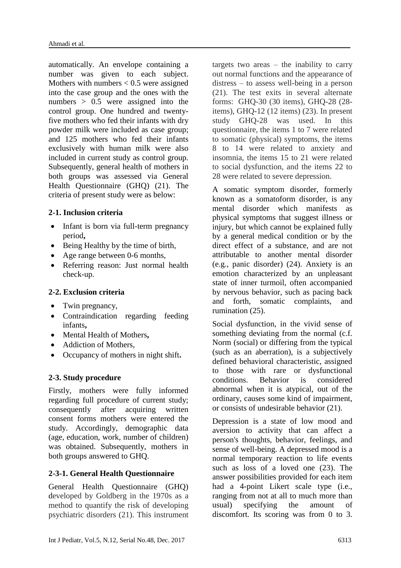automatically. An envelope containing a number was given to each subject. Mothers with numbers  $< 0.5$  were assigned into the case group and the ones with the numbers > 0.5 were assigned into the control group. One hundred and twentyfive mothers who fed their infants with dry powder milk were included as case group; and 125 mothers who fed their infants exclusively with human milk were also included in current study as control group. Subsequently, general health of mothers in both groups was assessed via General Health Questionnaire (GHQ) (21). The criteria of present study were as below:

# **2-1. Inclusion criteria**

- Infant is born via full-term pregnancy period**,**
- Being Healthy by the time of birth,
- Age range between 0-6 months,
- Referring reason: Just normal health check-up.

# **2-2. Exclusion criteria**

- Twin pregnancy,
- Contraindication regarding feeding infants**,**
- Mental Health of Mothers**,**
- Addiction of Mothers,
- Occupancy of mothers in night shift**.**

# **2-3. Study procedure**

Firstly, mothers were fully informed regarding full procedure of current study; consequently after acquiring written consent forms mothers were entered the study. Accordingly, demographic data (age, education, work, number of children) was obtained. Subsequently, mothers in both groups answered to GHQ.

# **2-3-1. General Health Questionnaire**

General Health Questionnaire (GHQ) developed by Goldberg in the 1970s as a method to quantify the risk of developing psychiatric disorders (21). This instrument targets two areas  $-$  the inability to carry out normal functions and the appearance of distress – to assess well-being in a person (21). The test exits in several alternate forms: GHQ-30 (30 items), GHQ-28 (28 items), GHQ-12 (12 items) (23). In present study GHQ-28 was used. In this questionnaire, the items 1 to 7 were related to somatic (physical) symptoms, the items 8 to 14 were related to anxiety and insomnia, the items 15 to 21 were related to social dysfunction, and the items 22 to 28 were related to severe depression.

A somatic symptom disorder, formerly known as a somatoform disorder, is any mental disorder which manifests as physical symptoms that suggest illness or injury, but which cannot be explained fully by a general medical condition or by the direct effect of a substance, and are not attributable to another mental disorder (e.g., panic disorder) (24). Anxiety is an emotion characterized by an unpleasant state of inner turmoil, often accompanied by nervous behavior, such as pacing back and forth, somatic complaints, and rumination (25).

Social dysfunction, in the vivid sense of something deviating from the normal (c.f. Norm (social) or differing from the typical (such as an aberration), is a subjectively defined behavioral characteristic, assigned to those with rare or dysfunctional conditions. Behavior is considered abnormal when it is atypical, out of the ordinary, causes some kind of impairment, or consists of undesirable behavior (21).

Depression is a state of low mood and aversion to activity that can affect a person's thoughts, behavior, feelings, and sense of well-being. A depressed mood is a normal temporary reaction to life events such as loss of a loved one (23). The answer possibilities provided for each item had a 4-point Likert scale type (i.e., ranging from not at all to much more than usual) specifying the amount of discomfort. Its scoring was from 0 to 3.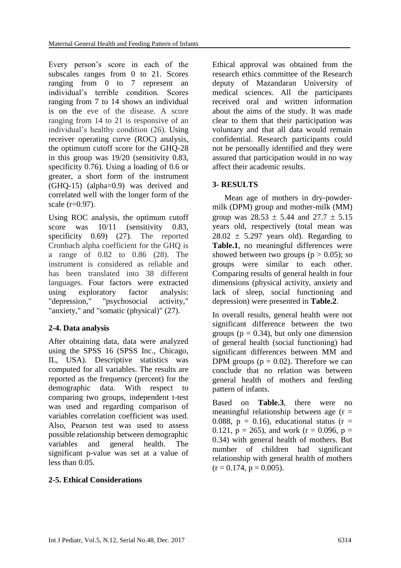Every person's score in each of the subscales ranges from 0 to 21. Scores ranging from 0 to 7 represent an individual's terrible condition. Scores ranging from 7 to 14 shows an individual is on the eve of the disease. A score ranging from 14 to 21 is responsive of an individual's healthy condition (26). Using receiver operating curve (ROC) analysis, the optimum cutoff score for the GHQ-28 in this group was 19/20 (sensitivity 0.83, specificity 0.76). Using a loading of 0.6 or greater, a short form of the instrument (GHQ-15) (alpha=0.9) was derived and correlated well with the longer form of the scale  $(r=0.97)$ .

Using ROC analysis, the optimum cutoff score was  $10/11$  (sensitivity 0.83, specificity 0.69) (27). The reported Cronbach alpha coefficient for the GHQ is a range of 0.82 to 0.86 (28). The instrument is considered as reliable and has been translated into 38 different languages. Four factors were extracted using exploratory factor analysis: "depression," "psychosocial activity," "anxiety," and "somatic (physical)" (27).

# **2-4. Data analysis**

After obtaining data, data were analyzed using the SPSS 16 (SPSS Inc., Chicago, IL, USA). Descriptive statistics was computed for all variables. The results are reported as the frequency (percent) for the demographic data. With respect to comparing two groups, independent t-test was used and regarding comparison of variables correlation coefficient was used. Also, Pearson test was used to assess possible relationship between demographic variables and general health. The significant p-value was set at a value of less than 0.05.

# **2-5. Ethical Considerations**

Ethical approval was obtained from the research ethics committee of the Research deputy of Mazandaran University of medical sciences. All the participants received oral and written information about the aims of the study. It was made clear to them that their participation was voluntary and that all data would remain confidential. Research participants could not be personally identified and they were assured that participation would in no way affect their academic results.

### **3- RESULTS**

Mean age of mothers in dry-powdermilk (DPM) group and mother-milk (MM) group was  $28.53 \pm 5.44$  and  $27.7 \pm 5.15$ years old, respectively (total mean was  $28.02 \pm 5.297$  years old). Regarding to **Table.1**, no meaningful differences were showed between two groups ( $p > 0.05$ ); so groups were similar to each other. Comparing results of general health in four dimensions (physical activity, anxiety and lack of sleep, social functioning and depression) were presented in **Table.2**.

In overall results, general health were not significant difference between the two groups ( $p = 0.34$ ), but only one dimension of general health (social functioning) had significant differences between MM and DPM groups ( $p = 0.02$ ). Therefore we can conclude that no relation was between general health of mothers and feeding pattern of infants.

Based on **Table.3**, there were no meaningful relationship between age  $(r =$ 0.088,  $p = 0.16$ , educational status ( $r =$ 0.121,  $p = 265$ ), and work ( $r = 0.096$ ,  $p =$ 0.34) with general health of mothers. But number of children had significant relationship with general health of mothers  $(r = 0.174, p = 0.005)$ .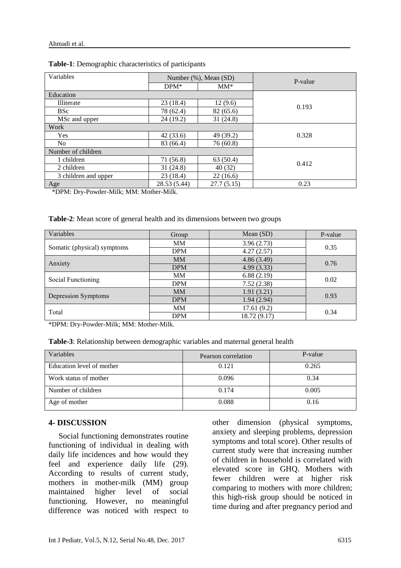| Variables            | Number (%), Mean (SD) |            | P-value |  |
|----------------------|-----------------------|------------|---------|--|
|                      | $DPM*$                | $MM^*$     |         |  |
| Education            |                       |            |         |  |
| Illiterate           | 23(18.4)              | 12(9.6)    | 0.193   |  |
| <b>BSc</b>           | 78 (62.4)             | 82 (65.6)  |         |  |
| MSc and upper        | 24(19.2)              | 31(24.8)   |         |  |
| Work                 |                       |            |         |  |
| Yes                  | 42(33.6)              | 49 (39.2)  | 0.328   |  |
| N <sub>o</sub>       | 83 (66.4)             | 76 (60.8)  |         |  |
| Number of children   |                       |            |         |  |
| 1 children           | 71 (56.8)             | 63 (50.4)  |         |  |
| 2 children           | 31 (24.8)             | 40 (32)    | 0.412   |  |
| 3 children and upper | 23(18.4)              | 22(16.6)   |         |  |
| Age                  | 28.53 (5.44)          | 27.7(5.15) | 0.23    |  |

\*DPM: Dry-Powder-Milk; MM: Mother-Milk.

| Table-2: Mean score of general health and its dimensions between two groups |  |  |
|-----------------------------------------------------------------------------|--|--|
|                                                                             |  |  |

| Variables                   | Group                    | Mean (SD)    | P-value |
|-----------------------------|--------------------------|--------------|---------|
| Somatic (physical) symptoms | MM                       | 3.96(2.73)   | 0.35    |
|                             | 4.27(2.57)<br><b>DPM</b> |              |         |
| Anxiety                     | <b>MM</b>                | 4.86(3.49)   | 0.76    |
|                             | <b>DPM</b>               | 4.99(3.33)   |         |
| Social Functioning          | 6.88(2.19)<br>MM         |              | 0.02    |
|                             | <b>DPM</b>               | 7.52(2.38)   |         |
| Depression Symptoms         | <b>MM</b>                | 1.91(3.21)   | 0.93    |
|                             | <b>DPM</b>               | 1.94(2.94)   |         |
| Total                       | MM                       | 17.61(9.2)   | 0.34    |
|                             | <b>DPM</b>               | 18.72 (9.17) |         |

\*DPM: Dry-Powder-Milk; MM: Mother-Milk.

**Table-3**: Relationship between demographic variables and maternal general health

| Variables                 | Pearson correlation | P-value |
|---------------------------|---------------------|---------|
| Education level of mother | 0.121               | 0.265   |
| Work status of mother     | 0.096               | 0.34    |
| Number of children        | 0.174               | 0.005   |
| Age of mother             | 0.088               | 0.16    |

#### **4- DISCUSSION**

 Social functioning demonstrates routine functioning of individual in dealing with daily life incidences and how would they feel and experience daily life (29). According to results of current study, mothers in mother-milk (MM) group maintained higher level of social functioning. However, no meaningful difference was noticed with respect to other dimension (physical symptoms, anxiety and sleeping problems, depression symptoms and total score). Other results of current study were that increasing number of children in household is correlated with elevated score in GHQ. Mothers with fewer children were at higher risk comparing to mothers with more children; this high-risk group should be noticed in time during and after pregnancy period and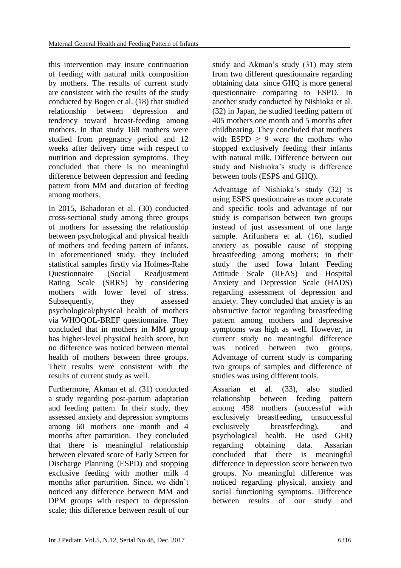this intervention may insure continuation of feeding with natural milk composition by mothers. The results of current study are consistent with the results of the study conducted by Bogen et al. (18) that studied relationship between depression and tendency toward breast-feeding among mothers. In that study 168 mothers were studied from pregnancy period and 12 weeks after delivery time with respect to nutrition and depression symptoms. They concluded that there is no meaningful difference between depression and feeding pattern from MM and duration of feeding among mothers.

In 2015, Bahadoran et al. (30) conducted cross-sectional study among three groups of mothers for assessing the relationship between psychological and physical health of mothers and feeding pattern of infants. In aforementioned study, they included statistical samples firstly via Holmes-Rahe Questionnaire (Social Readjustment Rating Scale (SRRS) by considering mothers with lower level of stress. Subsequently, they assessed psychological/physical health of mothers via WHOQOL-BREF questionnaire. They concluded that in mothers in MM group has higher-level physical health score, but no difference was noticed between mental health of mothers between three groups. Their results were consistent with the results of current study as well.

Furthermore, Akman et al. (31) conducted a study regarding post-partum adaptation and feeding pattern. In their study, they assessed anxiety and depression symptoms among 60 mothers one month and 4 months after parturition. They concluded that there is meaningful relationship between elevated score of Early Screen for Discharge Planning (ESPD) and stopping exclusive feeding with mother milk 4 months after parturition. Since, we didn't noticed any difference between MM and DPM groups with respect to depression scale; this difference between result of our study and Akman's study (31) may stem from two different questionnaire regarding obtaining data since GHQ is more general questionnaire comparing to ESPD. In another study conducted by Nishioka et al. (32) in Japan, he studied feeding pattern of 405 mothers one month and 5 months after childbearing. They concluded that mothers with ESPD  $\geq$  9 were the mothers who stopped exclusively feeding their infants with natural milk. Difference between our study and Nishioka's study is difference between tools (ESPS and GHQ).

Advantage of Nishioka's study (32) is using ESPS questionnaire as more accurate and specific tools and advantage of our study is comparison between two groups instead of just assessment of one large sample. Arifunhera et al. (16), studied anxiety as possible cause of stopping breastfeeding among mothers; in their study the used Iowa Infant Feeding Attitude Scale (IIFAS) and Hospital Anxiety and Depression Scale (HADS) regarding assessment of depression and anxiety. They concluded that anxiety is an obstructive factor regarding breastfeeding pattern among mothers and depressive symptoms was high as well. However, in current study no meaningful difference was noticed between two groups. Advantage of current study is comparing two groups of samples and difference of studies was using different tools.

Assarian et al. (33), also studied relationship between feeding pattern among 458 mothers (successful with exclusively breastfeeding, unsuccessful exclusively breastfeeding), and psychological health. He used GHQ regarding obtaining data. Assarian concluded that there is meaningful difference in depression score between two groups. No meaningful difference was noticed regarding physical, anxiety and social functioning symptoms. Difference between results of our study and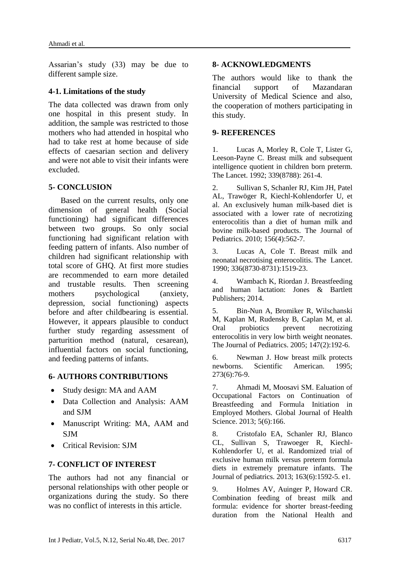Assarian's study (33) may be due to different sample size.

### **4-1. Limitations of the study**

The data collected was drawn from only one hospital in this present study. In addition, the sample was restricted to those mothers who had attended in hospital who had to take rest at home because of side effects of caesarian section and delivery and were not able to visit their infants were excluded.

### **5- CONCLUSION**

Based on the current results, only one dimension of general health (Social functioning) had significant differences between two groups. So only social functioning had significant relation with feeding pattern of infants. Also number of children had significant relationship with total score of GHQ. At first more studies are recommended to earn more detailed and trustable results. Then screening mothers psychological (anxiety, depression, social functioning) aspects before and after childbearing is essential. However, it appears plausible to conduct further study regarding assessment of parturition method (natural, cesarean), influential factors on social functioning, and feeding patterns of infants.

### **6- AUTHORS CONTRIBUTIONS**

- Study design: MA and AAM
- Data Collection and Analysis: AAM and SJM
- Manuscript Writing: MA, AAM and **SIM**
- Critical Revision: SJM

### **7- CONFLICT OF INTEREST**

The authors had not any financial or personal relationships with other people or organizations during the study. So there was no conflict of interests in this article.

### **8- ACKNOWLEDGMENTS**

The authors would like to thank the financial support of Mazandaran University of Medical Science and also, the cooperation of mothers participating in this study.

#### **9- REFERENCES**

1. Lucas A, Morley R, Cole T, Lister G, Leeson-Payne C. Breast milk and subsequent intelligence quotient in children born preterm. The Lancet. 1992; 339(8788): 261-4.

2. Sullivan S, Schanler RJ, Kim JH, Patel AL, Trawöger R, Kiechl-Kohlendorfer U, et al. An exclusively human milk-based diet is associated with a lower rate of necrotizing enterocolitis than a diet of human milk and bovine milk-based products. The Journal of Pediatrics. 2010; 156(4):562-7.

3. Lucas A, Cole T. Breast milk and neonatal necrotising enterocolitis. The Lancet. 1990; 336(8730-8731):1519-23.

4. Wambach K, Riordan J. Breastfeeding and human lactation: Jones & Bartlett Publishers; 2014.

5. Bin-Nun A, Bromiker R, Wilschanski M, Kaplan M, Rudensky B, Caplan M, et al. Oral probiotics prevent necrotizing enterocolitis in very low birth weight neonates. The Journal of Pediatrics. 2005; 147(2):192-6.

6. Newman J. How breast milk protects newborns. Scientific American. 1995; 273(6):76-9.

7. Ahmadi M, Moosavi SM. Ealuation of Occupational Factors on Continuation of Breastfeeding and Formula Initiation in Employed Mothers. Global Journal of Health Science. 2013; 5(6):166.

8. Cristofalo EA, Schanler RJ, Blanco CL, Sullivan S, Trawoeger R, Kiechl-Kohlendorfer U, et al. Randomized trial of exclusive human milk versus preterm formula diets in extremely premature infants. The Journal of pediatrics. 2013; 163(6):1592-5. e1.

9. Holmes AV, Auinger P, Howard CR. Combination feeding of breast milk and formula: evidence for shorter breast-feeding duration from the National Health and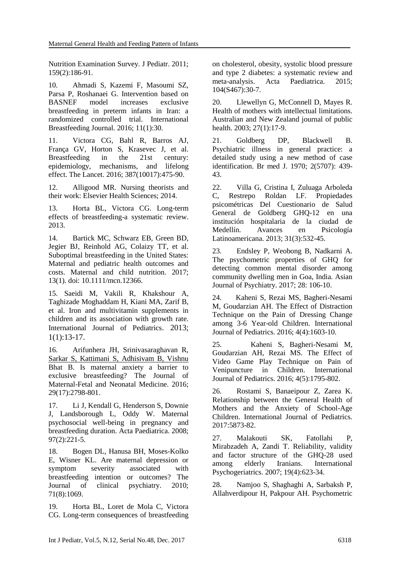Nutrition Examination Survey. J Pediatr. 2011; 159(2):186-91.

10. Ahmadi S, Kazemi F, Masoumi SZ, Parsa P, Roshanaei G. Intervention based on BASNEF model increases exclusive breastfeeding in preterm infants in Iran: a randomized controlled trial. International Breastfeeding Journal. 2016; 11(1):30.

11. Victora CG, Bahl R, Barros AJ, França GV, Horton S, Krasevec J, et al. Breastfeeding in the 21st century: epidemiology, mechanisms, and lifelong effect. The Lancet. 2016; 387(10017):475-90.

12. Alligood MR. Nursing theorists and their work: Elsevier Health Sciences; 2014.

13. Horta BL, Victora CG. Long-term effects of breastfeeding-a systematic review. 2013.

14. Bartick MC, Schwarz EB, Green BD, Jegier BJ, Reinhold AG, Colaizy TT, et al. Suboptimal breastfeeding in the United States: Maternal and pediatric health outcomes and costs. Maternal and child nutrition. 2017; 13(1). doi: 10.1111/mcn.12366.

15. [Saeidi M,](https://www.scopus.com/authid/detail.uri?authorId=55927110500&eid=2-s2.0-85006924985) [Vakili R,](https://www.scopus.com/authid/detail.uri?authorId=55966390700&eid=2-s2.0-85006924985) [Khakshour A,](https://www.scopus.com/authid/detail.uri?authorId=55550328600&eid=2-s2.0-85006924985)  Taghizade [Moghaddam H,](https://www.scopus.com/authid/detail.uri?authorId=57192586132&eid=2-s2.0-85006924985) [Kiani MA,](https://www.scopus.com/authid/detail.uri?authorId=54683993700&eid=2-s2.0-85006924985) [Zarif B,](https://www.scopus.com/authid/detail.uri?authorId=57192586817&eid=2-s2.0-85006924985) et al. Iron and multivitamin supplements in children and its association with growth rate. [International Journal of Pediatrics](https://www.scopus.com/sourceid/21100790061?origin=recordpage). 2013; 1(1):13-17.

16. Arifunhera JH, Srinivasaraghavan R, Sarkar S, Kattimani S, Adhisivam B, Vishnu Bhat B. Is maternal anxiety a barrier to exclusive breastfeeding? The Journal of Maternal-Fetal and Neonatal Medicine. 2016; 29(17):2798-801.

17. Li J, Kendall G, Henderson S, Downie J, Landsborough L, Oddy W. Maternal psychosocial well-being in pregnancy and breastfeeding duration. Acta Paediatrica. 2008; 97(2):221-5.

18. Bogen DL, Hanusa BH, Moses-Kolko E, Wisner KL. Are maternal depression or symptom severity associated with breastfeeding intention or outcomes? The Journal of clinical psychiatry. 2010; 71(8):1069.

19. Horta BL, Loret de Mola C, Victora CG. Long-term consequences of breastfeeding on cholesterol, obesity, systolic blood pressure and type 2 diabetes: a systematic review and meta-analysis. Acta Paediatrica. 2015; 104(S467):30-7.

20. Llewellyn G, McConnell D, Mayes R. Health of mothers with intellectual limitations. Australian and New Zealand journal of public health. 2003; 27(1):17-9.

21. Goldberg DP, Blackwell B. Psychiatric illness in general practice: a detailed study using a new method of case identification. Br med J. 1970; 2(5707): 439- 43.

22. Villa G, Cristina I, Zuluaga Arboleda C, Restrepo Roldan LF. Propiedades psicométricas Del Cuestionario de Salud General de Goldberg GHQ-12 en una institución hospitalaria de la ciudad de Medellín. Avances en Psicología Latinoamericana. 2013; 31(3):532-45.

23. Endsley P, Weobong B, Nadkarni A. The psychometric properties of GHQ for detecting common mental disorder among community dwelling men in Goa, India. Asian Journal of Psychiatry. 2017; 28: 106-10.

24. Kaheni S, Rezai MS, Bagheri-Nesami M, Goudarzian AH. The Effect of Distraction Technique on the Pain of Dressing Change among 3-6 Year-old Children. International Journal of Pediatrics. 2016; 4(4):1603-10.

25. Kaheni S, Bagheri-Nesami M, Goudarzian AH, Rezai MS. The Effect of Video Game Play Technique on Pain of Venipuncture in Children. International Journal of Pediatrics. 2016; 4(5):1795-802.

26. Rostami S, Banaeipour Z, Zarea K. Relationship between the General Health of Mothers and the Anxiety of School-Age Children. International Journal of Pediatrics. 2017:5873-82.

27. Malakouti SK, Fatollahi P, Mirabzadeh A, Zandi T. Reliability, validity and factor structure of the GHQ-28 used among elderly Iranians. International Psychogeriatrics. 2007; 19(4):623-34.

28. Namjoo S, Shaghaghi A, Sarbaksh P, Allahverdipour H, Pakpour AH. Psychometric